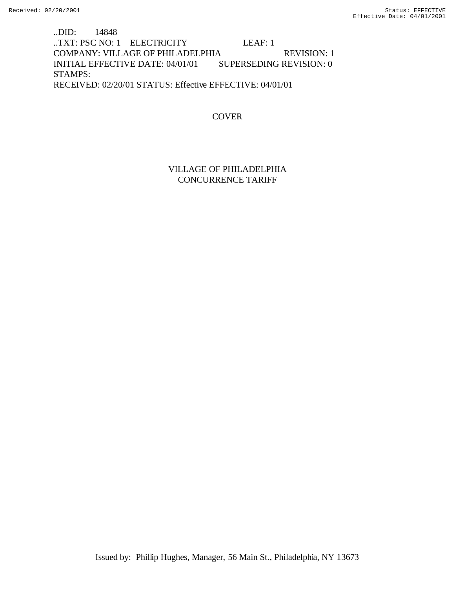..DID: 14848 ..TXT: PSC NO: 1 ELECTRICITY LEAF: 1 COMPANY: VILLAGE OF PHILADELPHIA REVISION: 1 INITIAL EFFECTIVE DATE: 04/01/01 SUPERSEDING REVISION: 0 STAMPS: RECEIVED: 02/20/01 STATUS: Effective EFFECTIVE: 04/01/01

COVER

VILLAGE OF PHILADELPHIA CONCURRENCE TARIFF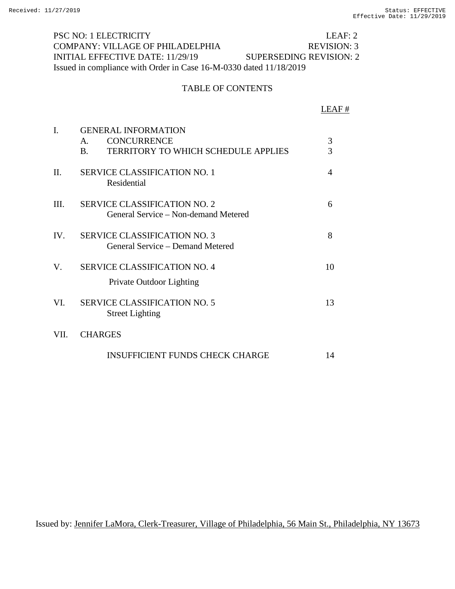PSC NO: 1 ELECTRICITY LEAF: 2 COMPANY: VILLAGE OF PHILADELPHIA REVISION: 3 INITIAL EFFECTIVE DATE: 11/29/19 SUPERSEDING REVISION: 2 Issued in compliance with Order in Case 16-M-0330 dated 11/18/2019

## TABLE OF CONTENTS

|         |                                                                                                                               | LEAF #              |
|---------|-------------------------------------------------------------------------------------------------------------------------------|---------------------|
| I.      | <b>GENERAL INFORMATION</b><br><b>CONCURRENCE</b><br>$\mathsf{A}$ .<br><b>TERRITORY TO WHICH SCHEDULE APPLIES</b><br><b>B.</b> | 3<br>$\overline{3}$ |
| $\Pi$ . | <b>SERVICE CLASSIFICATION NO. 1</b><br>Residential                                                                            | 4                   |
| III.    | <b>SERVICE CLASSIFICATION NO. 2</b><br>General Service – Non-demand Metered                                                   | 6                   |
| IV.     | <b>SERVICE CLASSIFICATION NO. 3</b><br>General Service – Demand Metered                                                       | 8                   |
| V.      | <b>SERVICE CLASSIFICATION NO. 4</b><br>Private Outdoor Lighting                                                               | 10                  |
| VI.     | <b>SERVICE CLASSIFICATION NO. 5</b><br><b>Street Lighting</b>                                                                 | 13                  |
| VII.    | <b>CHARGES</b>                                                                                                                |                     |
|         | <b>INSUFFICIENT FUNDS CHECK CHARGE</b>                                                                                        | 14                  |

Issued by: Jennifer LaMora, Clerk-Treasurer, Village of Philadelphia, 56 Main St., Philadelphia, NY 13673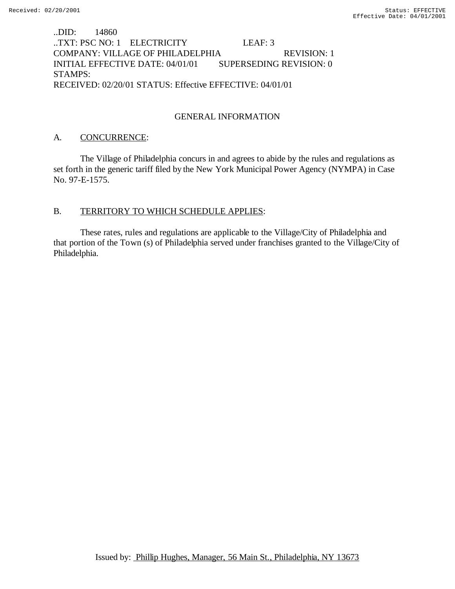..DID: 14860 ..TXT: PSC NO: 1 ELECTRICITY LEAF: 3 COMPANY: VILLAGE OF PHILADELPHIA REVISION: 1 INITIAL EFFECTIVE DATE: 04/01/01 SUPERSEDING REVISION: 0 STAMPS: RECEIVED: 02/20/01 STATUS: Effective EFFECTIVE: 04/01/01

## GENERAL INFORMATION

#### A. CONCURRENCE:

The Village of Philadelphia concurs in and agrees to abide by the rules and regulations as set forth in the generic tariff filed by the New York Municipal Power Agency (NYMPA) in Case No. 97-E-1575.

#### B. TERRITORY TO WHICH SCHEDULE APPLIES:

These rates, rules and regulations are applicable to the Village/City of Philadelphia and that portion of the Town (s) of Philadelphia served under franchises granted to the Village/City of Philadelphia.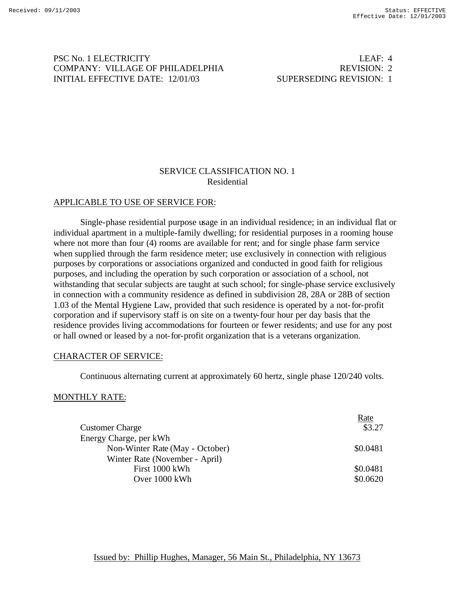# PSC No. 1 ELECTRICITY LEAF: 4 COMPANY: VILLAGE OF PHILADELPHIA REVISION: 2 INITIAL EFFECTIVE DATE: 12/01/03 SUPERSEDING REVISION: 1

# SERVICE CLASSIFICATION NO. 1 Residential

#### APPLICABLE TO USE OF SERVICE FOR:

Single-phase residential purpose usage in an individual residence; in an individual flat or individual apartment in a multiple-family dwelling; for residential purposes in a rooming house where not more than four (4) rooms are available for rent; and for single phase farm service when supplied through the farm residence meter; use exclusively in connection with religious purposes by corporations or associations organized and conducted in good faith for religious purposes, and including the operation by such corporation or association of a school, not withstanding that secular subjects are taught at such school; for single-phase service exclusively in connection with a community residence as defined in subdivision 28, 28A or 28B of section 1.03 of the Mental Hygiene Law, provided that such residence is operated by a not-for-profit corporation and if supervisory staff is on site on a twenty-four hour per day basis that the residence provides living accommodations for fourteen or fewer residents; and use for any post or hall owned or leased by a not-for-profit organization that is a veterans organization.

#### CHARACTER OF SERVICE:

Continuous alternating current at approximately 60 hertz, single phase 120/240 volts.

#### MONTHLY RATE:

|                                 | Rate     |
|---------------------------------|----------|
| <b>Customer Charge</b>          | \$3.27   |
| Energy Charge, per kWh          |          |
| Non-Winter Rate (May - October) | \$0.0481 |
| Winter Rate (November - April)  |          |
| First 1000 kWh                  | \$0.0481 |
| Over 1000 kWh                   | \$0.0620 |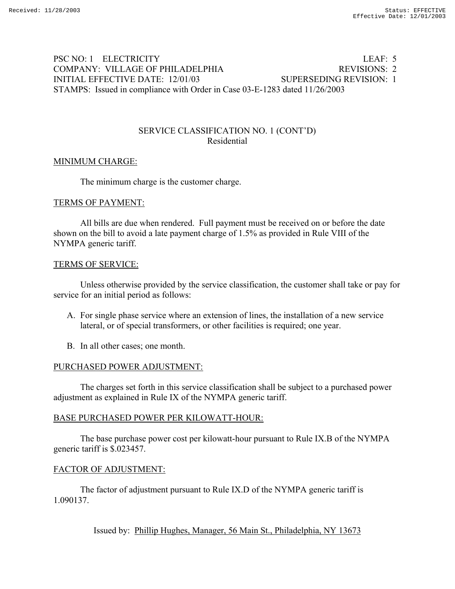# PSC NO: 1 ELECTRICITY LEAF: 5 COMPANY: VILLAGE OF PHILADELPHIA REVISIONS: 2 INITIAL EFFECTIVE DATE: 12/01/03 SUPERSEDING REVISION: 1 STAMPS: Issued in compliance with Order in Case 03-E-1283 dated 11/26/2003

## SERVICE CLASSIFICATION NO. 1 (CONT'D) Residential

## MINIMUM CHARGE:

The minimum charge is the customer charge.

#### TERMS OF PAYMENT:

 All bills are due when rendered. Full payment must be received on or before the date shown on the bill to avoid a late payment charge of 1.5% as provided in Rule VIII of the NYMPA generic tariff.

#### TERMS OF SERVICE:

 Unless otherwise provided by the service classification, the customer shall take or pay for service for an initial period as follows:

- A. For single phase service where an extension of lines, the installation of a new service lateral, or of special transformers, or other facilities is required; one year.
- B. In all other cases; one month.

#### PURCHASED POWER ADJUSTMENT:

 The charges set forth in this service classification shall be subject to a purchased power adjustment as explained in Rule IX of the NYMPA generic tariff.

#### BASE PURCHASED POWER PER KILOWATT-HOUR:

 The base purchase power cost per kilowatt-hour pursuant to Rule IX.B of the NYMPA generic tariff is \$.023457.

#### FACTOR OF ADJUSTMENT:

 The factor of adjustment pursuant to Rule IX.D of the NYMPA generic tariff is 1.090137.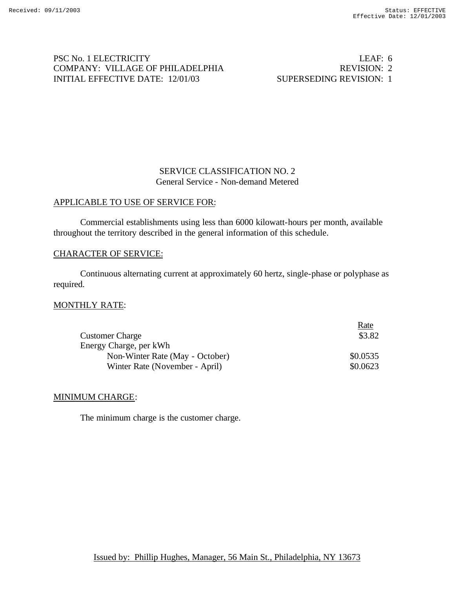# PSC No. 1 ELECTRICITY LEAF: 6 COMPANY: VILLAGE OF PHILADELPHIA REVISION: 2 INITIAL EFFECTIVE DATE: 12/01/03 SUPERSEDING REVISION: 1

# SERVICE CLASSIFICATION NO. 2 General Service - Non-demand Metered

## APPLICABLE TO USE OF SERVICE FOR:

Commercial establishments using less than 6000 kilowatt-hours per month, available throughout the territory described in the general information of this schedule.

#### CHARACTER OF SERVICE:

Continuous alternating current at approximately 60 hertz, single-phase or polyphase as required.

## MONTHLY RATE:

|                                 | Rate     |
|---------------------------------|----------|
| <b>Customer Charge</b>          | \$3.82   |
| Energy Charge, per kWh          |          |
| Non-Winter Rate (May - October) | \$0.0535 |
| Winter Rate (November - April)  | \$0.0623 |

#### MINIMUM CHARGE:

The minimum charge is the customer charge.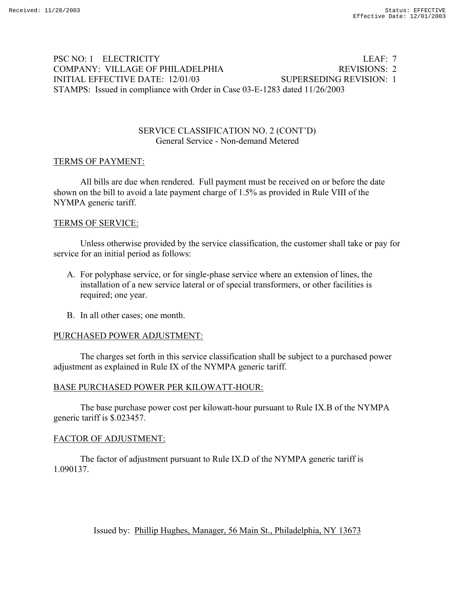# PSC NO: 1 ELECTRICITY LEAF: 7 COMPANY: VILLAGE OF PHILADELPHIA REVISIONS: 2 INITIAL EFFECTIVE DATE: 12/01/03 SUPERSEDING REVISION: 1 STAMPS: Issued in compliance with Order in Case 03-E-1283 dated 11/26/2003

## SERVICE CLASSIFICATION NO. 2 (CONT'D) General Service - Non-demand Metered

#### TERMS OF PAYMENT:

 All bills are due when rendered. Full payment must be received on or before the date shown on the bill to avoid a late payment charge of 1.5% as provided in Rule VIII of the NYMPA generic tariff.

#### TERMS OF SERVICE:

 Unless otherwise provided by the service classification, the customer shall take or pay for service for an initial period as follows:

- A. For polyphase service, or for single-phase service where an extension of lines, the installation of a new service lateral or of special transformers, or other facilities is required; one year.
- B. In all other cases; one month.

## PURCHASED POWER ADJUSTMENT:

 The charges set forth in this service classification shall be subject to a purchased power adjustment as explained in Rule IX of the NYMPA generic tariff.

#### BASE PURCHASED POWER PER KILOWATT-HOUR:

 The base purchase power cost per kilowatt-hour pursuant to Rule IX.B of the NYMPA generic tariff is \$.023457.

#### FACTOR OF ADJUSTMENT:

 The factor of adjustment pursuant to Rule IX.D of the NYMPA generic tariff is 1.090137.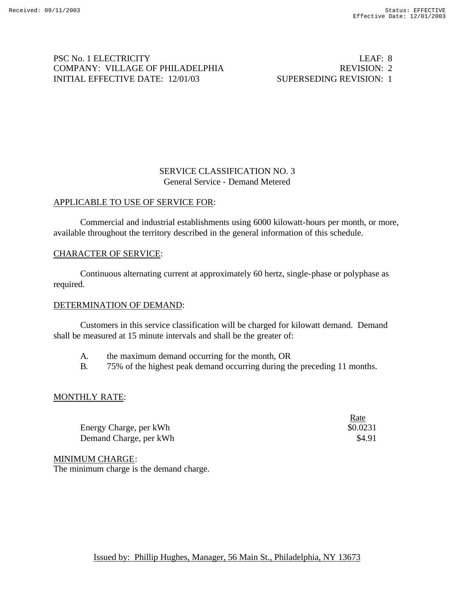# PSC No. 1 ELECTRICITY LEAF: 8 COMPANY: VILLAGE OF PHILADELPHIA REVISION: 2 INITIAL EFFECTIVE DATE: 12/01/03 SUPERSEDING REVISION: 1

Rate

# SERVICE CLASSIFICATION NO. 3 General Service - Demand Metered

## APPLICABLE TO USE OF SERVICE FOR:

Commercial and industrial establishments using 6000 kilowatt-hours per month, or more, available throughout the territory described in the general information of this schedule.

#### CHARACTER OF SERVICE:

Continuous alternating current at approximately 60 hertz, single-phase or polyphase as required.

#### DETERMINATION OF DEMAND:

Customers in this service classification will be charged for kilowatt demand. Demand shall be measured at 15 minute intervals and shall be the greater of:

- A. the maximum demand occurring for the month, OR
- B. 75% of the highest peak demand occurring during the preceding 11 months.

## MONTHLY RATE:

|                        | <u>inuv</u> |
|------------------------|-------------|
| Energy Charge, per kWh | \$0.0231    |
| Demand Charge, per kWh | \$4.91      |

MINIMUM CHARGE:

The minimum charge is the demand charge.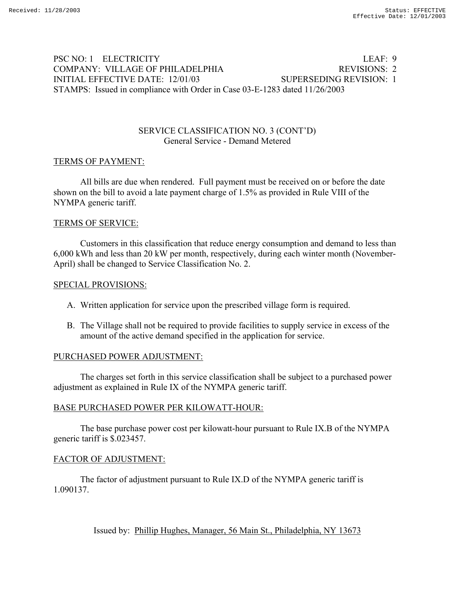# PSC NO: 1 ELECTRICITY LEAF: 9 COMPANY: VILLAGE OF PHILADELPHIA REVISIONS: 2 INITIAL EFFECTIVE DATE: 12/01/03 SUPERSEDING REVISION: 1 STAMPS: Issued in compliance with Order in Case 03-E-1283 dated 11/26/2003

## SERVICE CLASSIFICATION NO. 3 (CONT'D) General Service - Demand Metered

#### TERMS OF PAYMENT:

 All bills are due when rendered. Full payment must be received on or before the date shown on the bill to avoid a late payment charge of 1.5% as provided in Rule VIII of the NYMPA generic tariff.

#### TERMS OF SERVICE:

 Customers in this classification that reduce energy consumption and demand to less than 6,000 kWh and less than 20 kW per month, respectively, during each winter month (November-April) shall be changed to Service Classification No. 2.

#### SPECIAL PROVISIONS:

- A. Written application for service upon the prescribed village form is required.
- B. The Village shall not be required to provide facilities to supply service in excess of the amount of the active demand specified in the application for service.

## PURCHASED POWER ADJUSTMENT:

 The charges set forth in this service classification shall be subject to a purchased power adjustment as explained in Rule IX of the NYMPA generic tariff.

## BASE PURCHASED POWER PER KILOWATT-HOUR:

 The base purchase power cost per kilowatt-hour pursuant to Rule IX.B of the NYMPA generic tariff is \$.023457.

## FACTOR OF ADJUSTMENT:

 The factor of adjustment pursuant to Rule IX.D of the NYMPA generic tariff is 1.090137.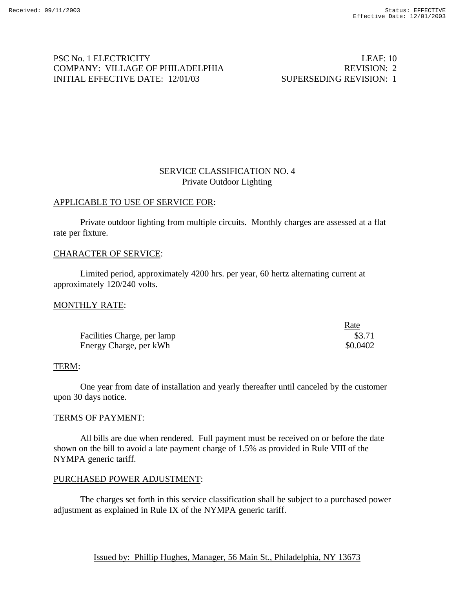# PSC No. 1 ELECTRICITY LEAF: 10 COMPANY: VILLAGE OF PHILADELPHIA REVISION: 2 INITIAL EFFECTIVE DATE: 12/01/03 SUPERSEDING REVISION: 1

 $R_{\text{max}}$ 

# SERVICE CLASSIFICATION NO. 4 Private Outdoor Lighting

#### APPLICABLE TO USE OF SERVICE FOR:

Private outdoor lighting from multiple circuits. Monthly charges are assessed at a flat rate per fixture.

#### CHARACTER OF SERVICE:

Limited period, approximately 4200 hrs. per year, 60 hertz alternating current at approximately 120/240 volts.

#### MONTHLY RATE:

|                             | naic     |
|-----------------------------|----------|
| Facilities Charge, per lamp | \$3.71   |
| Energy Charge, per kWh      | \$0.0402 |

#### TERM:

One year from date of installation and yearly thereafter until canceled by the customer upon 30 days notice.

#### TERMS OF PAYMENT:

All bills are due when rendered. Full payment must be received on or before the date shown on the bill to avoid a late payment charge of 1.5% as provided in Rule VIII of the NYMPA generic tariff.

#### PURCHASED POWER ADJUSTMENT:

The charges set forth in this service classification shall be subject to a purchased power adjustment as explained in Rule IX of the NYMPA generic tariff.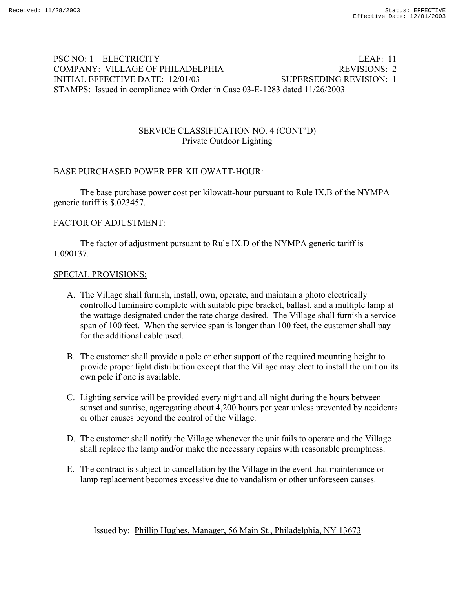# PSC NO: 1 ELECTRICITY LEAF: 11 COMPANY: VILLAGE OF PHILADELPHIA REVISIONS: 2 INITIAL EFFECTIVE DATE: 12/01/03 SUPERSEDING REVISION: 1 STAMPS: Issued in compliance with Order in Case 03-E-1283 dated 11/26/2003

# SERVICE CLASSIFICATION NO. 4 (CONT'D) Private Outdoor Lighting

# BASE PURCHASED POWER PER KILOWATT-HOUR:

 The base purchase power cost per kilowatt-hour pursuant to Rule IX.B of the NYMPA generic tariff is \$.023457.

#### FACTOR OF ADJUSTMENT:

 The factor of adjustment pursuant to Rule IX.D of the NYMPA generic tariff is 1.090137.

#### SPECIAL PROVISIONS:

- A. The Village shall furnish, install, own, operate, and maintain a photo electrically controlled luminaire complete with suitable pipe bracket, ballast, and a multiple lamp at the wattage designated under the rate charge desired. The Village shall furnish a service span of 100 feet. When the service span is longer than 100 feet, the customer shall pay for the additional cable used.
- B. The customer shall provide a pole or other support of the required mounting height to provide proper light distribution except that the Village may elect to install the unit on its own pole if one is available.
- C. Lighting service will be provided every night and all night during the hours between sunset and sunrise, aggregating about 4,200 hours per year unless prevented by accidents or other causes beyond the control of the Village.
- D. The customer shall notify the Village whenever the unit fails to operate and the Village shall replace the lamp and/or make the necessary repairs with reasonable promptness.
- E. The contract is subject to cancellation by the Village in the event that maintenance or lamp replacement becomes excessive due to vandalism or other unforeseen causes.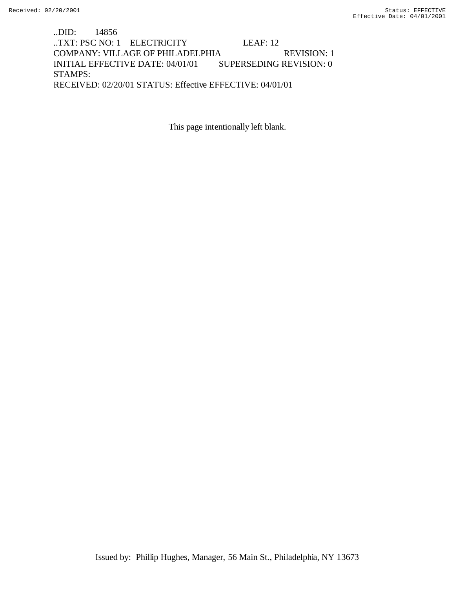..DID: 14856 ..TXT: PSC NO: 1 ELECTRICITY LEAF: 12 COMPANY: VILLAGE OF PHILADELPHIA REVISION: 1 INITIAL EFFECTIVE DATE: 04/01/01 SUPERSEDING REVISION: 0 STAMPS: RECEIVED: 02/20/01 STATUS: Effective EFFECTIVE: 04/01/01

This page intentionally left blank.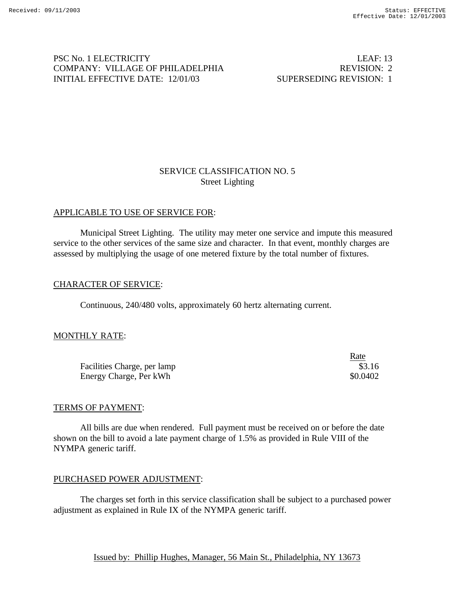# PSC No. 1 ELECTRICITY LEAF: 13 COMPANY: VILLAGE OF PHILADELPHIA REVISION: 2 INITIAL EFFECTIVE DATE: 12/01/03 SUPERSEDING REVISION: 1

# SERVICE CLASSIFICATION NO. 5 Street Lighting

# APPLICABLE TO USE OF SERVICE FOR:

Municipal Street Lighting. The utility may meter one service and impute this measured service to the other services of the same size and character. In that event, monthly charges are assessed by multiplying the usage of one metered fixture by the total number of fixtures.

## CHARACTER OF SERVICE:

Continuous, 240/480 volts, approximately 60 hertz alternating current.

## MONTHLY RATE:

|                             | Rate     |
|-----------------------------|----------|
| Facilities Charge, per lamp | \$3.16   |
| Energy Charge, Per kWh      | \$0.0402 |

#### TERMS OF PAYMENT:

All bills are due when rendered. Full payment must be received on or before the date shown on the bill to avoid a late payment charge of 1.5% as provided in Rule VIII of the NYMPA generic tariff.

## PURCHASED POWER ADJUSTMENT:

The charges set forth in this service classification shall be subject to a purchased power adjustment as explained in Rule IX of the NYMPA generic tariff.